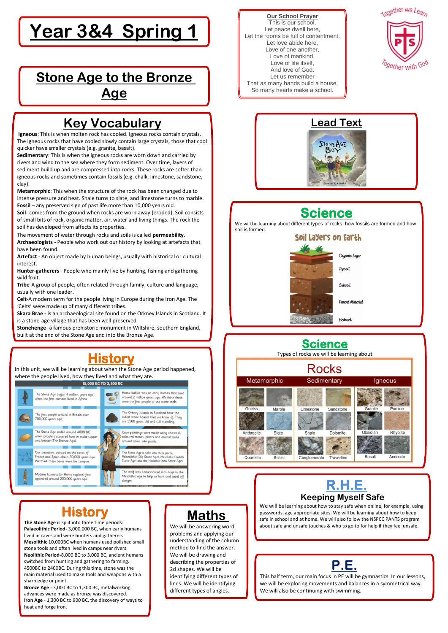**Our School Prayer** This is our school, Let peace dwell here, Let the rooms be full of contentment. Let love abide here, Love of one another, Love of mankind, Love of life itself, And love of God. Let us remember That as many hands build a house, So many hearts make a school.



# **Year 3&4 Spring 1**



# **Stone Age to the Bronze Age**

### **Science**

Types of rocks we will be learning about





## **Key Vocabulary**

**Igneous**: This is when molten rock has cooled. Igneous rocks contain crystals. The igneous rocks that have cooled slowly contain large crystals, those that cool quicker have smaller crystals (e.g. granite, basalt).

**Sedimentary**: This is when the igneous rocks are worn down and carried by rivers and wind to the sea where they form sediment. Over time, layers of sediment build up and are compressed into rocks. These rocks are softer than igneous rocks and sometimes contain fossils (e.g. chalk, limestone, sandstone, clay).

**Metamorphic**: This when the structure of the rock has been changed due to intense pressure and heat. Shale turns to slate, and limestone turns to marble. **Fossil** – any preserved sign of past life more than 10,000 years old.

**Soil-** comes from the ground when rocks are worn away (eroded). Soil consists of small bits of rock, organic matter, air, water and living things. The rock the soil has developed from affects its properties.

The movement of water through rocks and soils is called **permeability**.

**Archaeologists** - People who work out our history by looking at artefacts that have been found.

**Artefact** - An object made by human beings, usually with historical or cultural interest.

**Hunter-gatherers** - People who mainly live by hunting, fishing and gathering wild fruit.

**Tribe**-A group of people, often related through family, culture and language, usually with one leader.

**Celt**-A modern term for the people living in Europe during the Iron Age. The 'Celts' were made up of many different tribes.

**Skara Brae -** is an archaeological site found on the Orkney Islands in Scotland. It is a stone-age village that has been well preserved.

**Stonehenge**- a famous prehistoric monument in Wiltshire, southern England, built at the end of the Stone Age and into the Bronze Age.

## **History**

**The Stone Age** is split into three time periods: **Palaeolithic Period-** 3,000,000 BC, when early humans lived in caves and were hunters and gatherers. **Mesolithic** 10,000BC when humans used polished small stone tools and often lived in camps near rivers. **Neolithic Period-**8,000 BC to 3,000 BC, ancient humans switched from hunting and gathering to farming. 4500BC to 2400BC. During this time, stone was the main material used to make tools and weapons with a sharp edge or point.

**Bronze Age** - 3,000 BC to 1,300 BC, metalworking advances were made as bronze was discovered.

**Iron Age** - 1,300 BC to 900 BC, the discovery of ways to heat and forge iron.

# **History**

In this unit, we will be learning about when the Stone Age period happened, where the people lived, how they lived and what they ate.



Mesolithic age to help us hunt and ward off

danger



We will be learning about how to stay safe when online, for example, using passwords, age appropriate sites. We will be learning about how to keep safe in school and at home. We will also follow the NSPCC PANTS program about safe and unsafe touches & who to go to for help if they feel unsafe.



l,

We will be answering word problems and applying our understanding of the column method to find the answer. We will be drawing and describing the properties of 2d shapes. We will be identifying different types of lines. We will be identifying different types of angles.

# **Science**

We will be learning about different types of rocks, how fossils are formed and how soil is formed.



#### **P.E.**

This half term, our main focus in PE will be gymnastics. In our lessons, we will be exploring movements and balances in a symmetrical way. We will also be continuing with swimming.